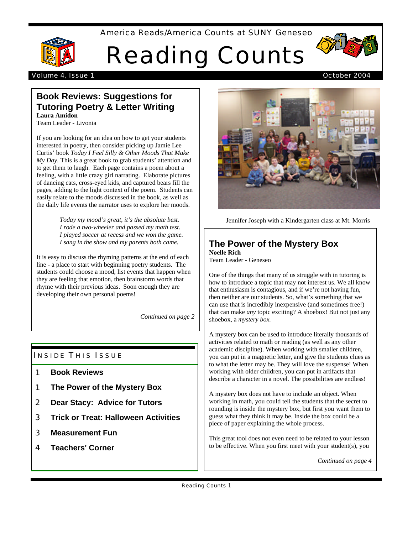## America Reads/America Counts at SUNY Geneseo



# Reading Counts



#### Volume 4, Issue 1 October 2004

## **Book Reviews: Suggestions for Tutoring Poetry & Letter Writing Laura Amidon**

Team Leader - Livonia

If you are looking for an idea on how to get your students interested in poetry, then consider picking up Jamie Lee Curtis' book *Today I Feel Silly & Other Moods That Make My Day.* This is a great book to grab students' attention and to get them to laugh. Each page contains a poem about a feeling, with a little crazy girl narrating. Elaborate pictures of dancing cats, cross-eyed kids, and captured bears fill the pages, adding to the light context of the poem. Students can easily relate to the moods discussed in the book, as well as the daily life events the narrator uses to explore her moods.

> *Today my mood's great, it's the absolute best. I rode a two-wheeler and passed my math test. I played soccer at recess and we won the game. I sang in the show and my parents both came.*

It is easy to discuss the rhyming patterns at the end of each line - a place to start with beginning poetry students. The students could choose a mood, list events that happen when they are feeling that emotion, then brainstorm words that rhyme with their previous ideas. Soon enough they are developing their own personal poems!

*Continued on page 2*

## **INSIDE THIS ISSUE**

- 1 **Book Reviews**
- 1 **The Power of the Mystery Box**
- 2 **Dear Stacy: Advice for Tutors**
- 3 **Trick or Treat: Halloween Activities**
- 3 **Measurement Fun**
- 4 **Teachers' Corner**



Jennifer Joseph with a Kindergarten class at Mt. Morris

#### **The Power of the Mystery Box Noelle Rich**

Team Leader - Geneseo

One of the things that many of us struggle with in tutoring is how to introduce a topic that may not interest us. We all know that enthusiasm is contagious, and if we're not having fun, then neither are our students. So, what's something that we can use that is incredibly inexpensive (and sometimes free!) that can make *any* topic exciting? A shoebox! But not just any shoebox, a *mystery box.*

A mystery box can be used to introduce literally thousands of activities related to math or reading (as well as any other academic discipline). When working with smaller children, you can put in a magnetic letter, and give the students clues as to what the letter may be. They will love the suspense! When working with older children, you can put in artifacts that describe a character in a novel. The possibilities are endless!

A mystery box does not have to include an object. When working in math, you could tell the students that the secret to rounding is inside the mystery box, but first you want them to guess what they think it may be. Inside the box could be a piece of paper explaining the whole process.

This great tool does not even need to be related to your lesson to be effective. When you first meet with your student(s), you

*Continued on page 4*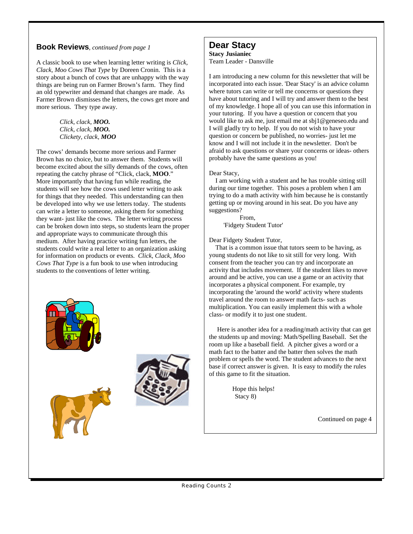## **Book Reviews**, *continued from page 1*

A classic book to use when learning letter writing is *Click, Clack, Moo Cows That Type* by Doreen Cronin. This is a story about a bunch of cows that are unhappy with the way things are being run on Farmer Brown's farm. They find an old typewriter and demand that changes are made. As Farmer Brown dismisses the letters, the cows get more and more serious. They type away.

> *Click, clack, MOO. Click, clack, MOO. Clickety, clack, MOO*

The cows' demands become more serious and Farmer Brown has no choice, but to answer them. Students will become excited about the silly demands of the cows, often repeating the catchy phrase of "Click, clack, **MOO**." More importantly that having fun while reading, the students will see how the cows used letter writing to ask for things that they needed. This understanding can then be developed into why we use letters today. The students can write a letter to someone, asking them for something they want- just like the cows. The letter writing process can be broken down into steps, so students learn the proper and appropriate ways to communicate through this medium. After having practice writing fun letters, the students could write a real letter to an organization asking for information on products or events. *Click, Clack, Moo Cows That Type* is a fun book to use when introducing students to the conventions of letter writing.







#### **Dear Stacy Stacy Jusianiec** Team Leader - Dansville

I am introducing a new column for this newsletter that will be incorporated into each issue. 'Dear Stacy' is an advice column where tutors can write or tell me concerns or questions they have about tutoring and I will try and answer them to the best of my knowledge. I hope all of you can use this information in your tutoring. If you have a question or concern that you would like to ask me, just email me at sbj1@geneseo.edu and I will gladly try to help. If you do not wish to have your question or concern be published, no worries- just let me know and I will not include it in the newsletter. Don't be afraid to ask questions or share your concerns or ideas- others probably have the same questions as you!

#### Dear Stacy,

 I am working with a student and he has trouble sitting still during our time together. This poses a problem when I am trying to do a math activity with him because he is constantly getting up or moving around in his seat. Do you have any suggestions?

 From, 'Fidgety Student Tutor'

Dear Fidgety Student Tutor,

 That is a common issue that tutors seem to be having, as young students do not like to sit still for very long. With consent from the teacher you can try and incorporate an activity that includes movement. If the student likes to move around and be active, you can use a game or an activity that incorporates a physical component. For example, try incorporating the 'around the world' activity where students travel around the room to answer math facts- such as multiplication. You can easily implement this with a whole class- or modify it to just one student.

 Here is another idea for a reading/math activity that can get the students up and moving: Math/Spelling Baseball. Set the room up like a baseball field. A pitcher gives a word or a math fact to the batter and the batter then solves the math problem or spells the word. The student advances to the next base if correct answer is given. It is easy to modify the rules of this game to fit the situation.

> Hope this helps! Stacy 8)

> > Continued on page 4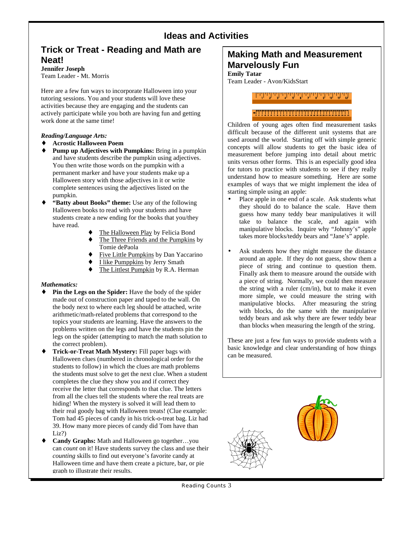## **Ideas and Activities**

# **Trick or Treat - Reading and Math are Neat!**

**Jennifer Joseph** Team Leader - Mt. Morris

Here are a few fun ways to incorporate Halloween into your tutoring sessions. You and your students will love these activities because they are engaging and the students can actively participate while you both are having fun and getting work done at the same time!

#### *Reading/Language Arts:*

#### **Acrostic Halloween Poem**

**Pump up Adjectives with Pumpkins:** Bring in a pumpkin and have students describe the pumpkin using adjectives. You then write those words on the pumpkin with a permanent marker and have your students make up a Halloween story with those adjectives in it or write complete sentences using the adjectives listed on the pumpkin.

**"Batty about Books" theme:** Use any of the following Halloween books to read with your students and have students create a new ending for the books that you/they have read.

The Halloween Play by Felicia Bond The Three Friends and the Pumpkins by Tomie dePaola Five Little Pumpkins by Dan Yaccarino I like Pumppkins by Jerry Smath The Littlest Pumpkin by R.A. Herman

#### *Mathematics:*

**Pin the Legs on the Spider:** Have the body of the spider made out of construction paper and taped to the wall. On the body next to where each leg should be attached, write arithmetic/math-related problems that correspond to the topics your students are learning. Have the answers to the problems written on the legs and have the students pin the legs on the spider (attempting to match the math solution to the correct problem).

**Trick-or-Treat Math Mystery:** Fill paper bags with Halloween clues (numbered in chronological order for the students to follow) in which the clues are math problems the students must solve to get the next clue. When a student completes the clue they show you and if correct they receive the letter that corresponds to that clue. The letters from all the clues tell the students where the real treats are hiding! When the mystery is solved it will lead them to their real goody bag with Halloween treats! (Clue example: Tom had 45 pieces of candy in his trick-o-treat bag. Liz had 39. How many more pieces of candy did Tom have than Liz?)

**Candy Graphs:** Math and Halloween go together…you can *count* on it! Have students survey the class and use their *counting* skills to find out everyone's favorite candy at Halloween time and have them create a picture, bar, or pie graph to illustrate their results.

## **Making Math and Measurement Marvelously Fun**

**Emily Tatar**

Team Leader - Avon/KidsStart

## 

## 

Children of young ages often find measurement tasks difficult because of the different unit systems that are used around the world. Starting off with simple generic concepts will allow students to get the basic idea of measurement before jumping into detail about metric units versus other forms. This is an especially good idea for tutors to practice with students to see if they really understand how to measure something. Here are some examples of ways that we might implement the idea of starting simple using an apple:

- Place apple in one end of a scale. Ask students what they should do to balance the scale. Have them guess how many teddy bear manipulatives it will take to balance the scale, and again with manipulative blocks. Inquire why "Johnny's" apple takes more blocks/teddy bears and "Jane's" apple.
- Ask students how they might measure the distance around an apple. If they do not guess, show them a piece of string and continue to question them. Finally ask them to measure around the outside with a piece of string. Normally, we could then measure the string with a ruler (cm/in), but to make it even more simple, we could measure the string with manipulative blocks. After measuring the string with blocks, do the same with the manipulative teddy bears and ask why there are fewer teddy bear than blocks when measuring the length of the string.

These are just a few fun ways to provide students with a basic knowledge and clear understanding of how things can be measured.